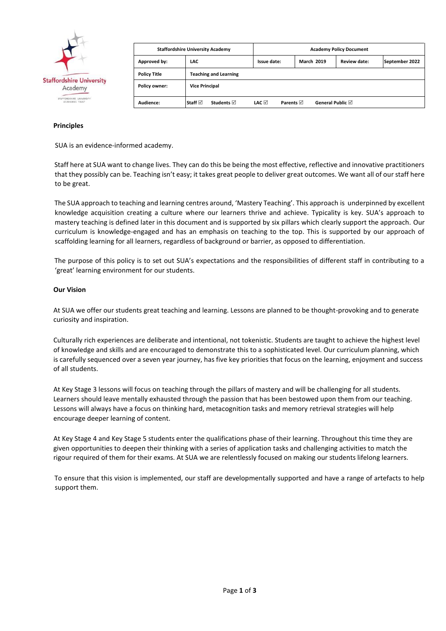

| <b>Staffordshire University Academy</b> |                                | <b>Academy Policy Document</b> |                   |              |                |  |
|-----------------------------------------|--------------------------------|--------------------------------|-------------------|--------------|----------------|--|
| Approved by:                            | LAC                            | Issue date:                    | <b>March 2019</b> | Review date: | September 2022 |  |
| <b>Policy Title</b>                     | <b>Teaching and Learning</b>   |                                |                   |              |                |  |
| <b>Policy owner:</b>                    | <b>Vice Principal</b>          |                                |                   |              |                |  |
| Audience:                               | l Staff ⊠<br><b>Students</b> ⊠ | LAC ⊠<br>Parents $\nabla$      | General Public ⊠  |              |                |  |

### **Principles**

SUA is an evidence-informed academy.

Staff here at SUA want to change lives. They can do this be being the most effective, reflective and innovative practitioners that they possibly can be. Teaching isn't easy; it takes great people to deliver great outcomes. We want all of our staff here to be great.

The SUA approach to teaching and learning centres around, 'Mastery Teaching'. This approach is underpinned by excellent knowledge acquisition creating a culture where our learners thrive and achieve. Typicality is key. SUA's approach to mastery teaching is defined later in this document and is supported by six pillars which clearly support the approach. Our curriculum is knowledge-engaged and has an emphasis on teaching to the top. This is supported by our approach of scaffolding learning for all learners, regardless of background or barrier, as opposed to differentiation.

The purpose of this policy is to set out SUA's expectations and the responsibilities of different staff in contributing to a 'great' learning environment for our students.

### **Our Vision**

At SUA we offer our students great teaching and learning. Lessons are planned to be thought-provoking and to generate curiosity and inspiration.

Culturally rich experiences are deliberate and intentional, not tokenistic. Students are taught to achieve the highest level of knowledge and skills and are encouraged to demonstrate this to a sophisticated level. Our curriculum planning, which is carefully sequenced over a seven year journey, has five key priorities that focus on the learning, enjoyment and success of all students.

At Key Stage 3 lessons will focus on teaching through the pillars of mastery and will be challenging for all students. Learners should leave mentally exhausted through the passion that has been bestowed upon them from our teaching. Lessons will always have a focus on thinking hard, metacognition tasks and memory retrieval strategies will help encourage deeper learning of content.

At Key Stage 4 and Key Stage 5 students enter the qualifications phase of their learning. Throughout this time they are given opportunities to deepen their thinking with a series of application tasks and challenging activities to match the rigour required of them for their exams. At SUA we are relentlessly focused on making our students lifelong learners.

To ensure that this vision is implemented, our staff are developmentally supported and have a range of artefacts to help support them.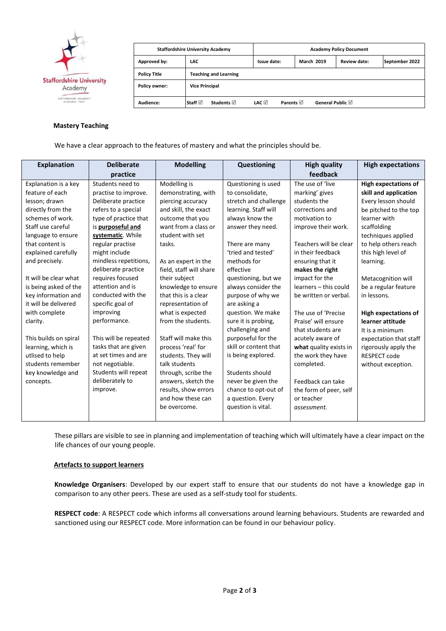

| <b>Staffordshire University Academy</b> |                                | <b>Academy Policy Document</b> |                   |              |                |  |
|-----------------------------------------|--------------------------------|--------------------------------|-------------------|--------------|----------------|--|
| Approved by:                            | LAC                            | Issue date:                    | <b>March 2019</b> | Review date: | September 2022 |  |
| <b>Policy Title</b>                     | <b>Teaching and Learning</b>   |                                |                   |              |                |  |
| <b>Policy owner:</b>                    | <b>Vice Principal</b>          |                                |                   |              |                |  |
| Audience:                               | l Staff ⊠<br><b>Students</b> ⊠ | LAC ⊠<br><b>Parents</b> ⊠      | General Public ⊠  |              |                |  |

#### **Mastery Teaching**

We have a clear approach to the features of mastery and what the principles should be.

| <b>Explanation</b>    | <b>Deliberate</b>     | <b>Modelling</b>        | Questioning           | <b>High quality</b>    | <b>High expectations</b>    |
|-----------------------|-----------------------|-------------------------|-----------------------|------------------------|-----------------------------|
|                       | practice              |                         |                       | feedback               |                             |
| Explanation is a key  | Students need to      | Modelling is            | Questioning is used   | The use of 'live       | <b>High expectations of</b> |
| feature of each       | practise to improve.  | demonstrating, with     | to consolidate,       | marking' gives         | skill and application       |
| lesson; drawn         | Deliberate practice   | piercing accuracy       | stretch and challenge | students the           | Every lesson should         |
| directly from the     | refers to a special   | and skill, the exact    | learning. Staff will  | corrections and        | be pitched to the top       |
| schemes of work.      | type of practice that | outcome that you        | always know the       | motivation to          | learner with                |
| Staff use careful     | is purposeful and     | want from a class or    | answer they need.     | improve their work.    | scaffolding                 |
| language to ensure    | systematic. While     | student with set        |                       |                        | techniques applied          |
| that content is       | regular practise      | tasks.                  | There are many        | Teachers will be clear | to help others reach        |
| explained carefully   | might include         |                         | 'tried and tested'    | in their feedback      | this high level of          |
| and precisely.        | mindless repetitions, | As an expert in the     | methods for           | ensuring that it       | learning.                   |
|                       | deliberate practice   | field, staff will share | effective             | makes the right        |                             |
| It will be clear what | requires focused      | their subject           | questioning, but we   | impact for the         | Metacognition will          |
| is being asked of the | attention and is      | knowledge to ensure     | always consider the   | learners - this could  | be a regular feature        |
| key information and   | conducted with the    | that this is a clear    | purpose of why we     | be written or verbal.  | in lessons.                 |
| it will be delivered  | specific goal of      | representation of       | are asking a          |                        |                             |
| with complete         | improving             | what is expected        | question. We make     | The use of 'Precise    | <b>High expectations of</b> |
| clarity.              | performance.          | from the students.      | sure it is probing,   | Praise' will ensure    | learner attitude            |
|                       |                       |                         | challenging and       | that students are      | It is a minimum             |
| This builds on spiral | This will be repeated | Staff will make this    | purposeful for the    | acutely aware of       | expectation that staff      |
| learning, which is    | tasks that are given  | process 'real' for      | skill or content that | what quality exists in | rigorously apply the        |
| utlised to help       | at set times and are  | students. They will     | is being explored.    | the work they have     | <b>RESPECT code</b>         |
| students remember     | not negotiable.       | talk students           |                       | completed.             | without exception.          |
| key knowledge and     | Students will repeat  | through, scribe the     | Students should       |                        |                             |
| concepts.             | deliberately to       | answers, sketch the     | never be given the    | Feedback can take      |                             |
|                       | improve.              | results, show errors    | chance to opt-out of  | the form of peer, self |                             |
|                       |                       | and how these can       | a question. Every     | or teacher             |                             |
|                       |                       | be overcome.            | question is vital.    | assessment.            |                             |
|                       |                       |                         |                       |                        |                             |

These pillars are visible to see in planning and implementation of teaching which will ultimately have a clear impact on the life chances of our young people.

# **Artefacts to support learners**

**Knowledge Organisers**: Developed by our expert staff to ensure that our students do not have a knowledge gap in comparison to any other peers. These are used as a self-study tool for students.

**RESPECT code**: A RESPECT code which informs all conversations around learning behaviours. Students are rewarded and sanctioned using our RESPECT code. More information can be found in our behaviour policy.